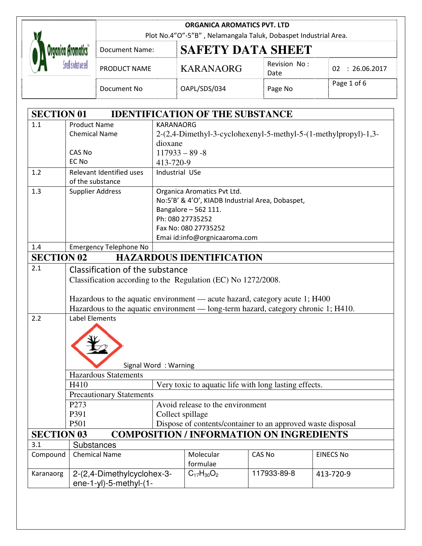|                       |                                                                         | <b>ORGANICA AROMATICS PVT. LTD</b>                              |                                                                                                                                                                   |                                                               |                      |                                                                 |  |
|-----------------------|-------------------------------------------------------------------------|-----------------------------------------------------------------|-------------------------------------------------------------------------------------------------------------------------------------------------------------------|---------------------------------------------------------------|----------------------|-----------------------------------------------------------------|--|
|                       |                                                                         | Plot No.4"O"-5"B", Nelamangala Taluk, Dobaspet Industrial Area. |                                                                                                                                                                   |                                                               |                      |                                                                 |  |
|                       | anica Aromatics                                                         | <b>Document Name:</b>                                           |                                                                                                                                                                   | <b>SAFETY DATA SHEET</b>                                      |                      |                                                                 |  |
| Smell is what we sell |                                                                         | PRODUCT NAME                                                    |                                                                                                                                                                   | <b>KARANAORG</b>                                              | Revision No:<br>Date | 02 : 26.06.2017                                                 |  |
| Document No           |                                                                         |                                                                 |                                                                                                                                                                   | OAPL/SDS/034<br>Page No                                       |                      | Page 1 of 6                                                     |  |
| <b>SECTION 01</b>     |                                                                         |                                                                 |                                                                                                                                                                   | <b>IDENTIFICATION OF THE SUBSTANCE</b>                        |                      |                                                                 |  |
| 1.1                   | <b>Product Name</b>                                                     |                                                                 | <b>KARANAORG</b>                                                                                                                                                  |                                                               |                      |                                                                 |  |
|                       | <b>Chemical Name</b>                                                    |                                                                 |                                                                                                                                                                   |                                                               |                      | 2-(2,4-Dimethyl-3-cyclohexenyl-5-methyl-5-(1-methylpropyl)-1,3- |  |
|                       |                                                                         |                                                                 | dioxane                                                                                                                                                           |                                                               |                      |                                                                 |  |
|                       | CAS No                                                                  |                                                                 |                                                                                                                                                                   | $117933 - 89 - 8$                                             |                      |                                                                 |  |
|                       | EC No                                                                   |                                                                 | 413-720-9                                                                                                                                                         |                                                               |                      |                                                                 |  |
| 1.2                   |                                                                         | Relevant Identified uses                                        | Industrial USe                                                                                                                                                    |                                                               |                      |                                                                 |  |
|                       |                                                                         | of the substance                                                |                                                                                                                                                                   |                                                               |                      |                                                                 |  |
| 1.3                   |                                                                         | <b>Supplier Address</b>                                         |                                                                                                                                                                   | Organica Aromatics Pvt Ltd.                                   |                      |                                                                 |  |
|                       |                                                                         |                                                                 |                                                                                                                                                                   | No:5'B' & 4'O', KIADB Industrial Area, Dobaspet,              |                      |                                                                 |  |
|                       |                                                                         |                                                                 |                                                                                                                                                                   | Bangalore - 562 111.                                          |                      |                                                                 |  |
|                       |                                                                         |                                                                 |                                                                                                                                                                   | Ph: 080 27735252                                              |                      |                                                                 |  |
|                       |                                                                         |                                                                 | Fax No: 080 27735252                                                                                                                                              |                                                               |                      |                                                                 |  |
| 1.4                   | <b>Emergency Telephone No</b>                                           |                                                                 | Emai id:info@orgnicaaroma.com                                                                                                                                     |                                                               |                      |                                                                 |  |
| <b>SECTION 02</b>     |                                                                         |                                                                 |                                                                                                                                                                   | <b>HAZARDOUS IDENTIFICATION</b>                               |                      |                                                                 |  |
| 2.1                   |                                                                         | Classification of the substance                                 |                                                                                                                                                                   |                                                               |                      |                                                                 |  |
|                       |                                                                         |                                                                 |                                                                                                                                                                   | Classification according to the Regulation (EC) No 1272/2008. |                      |                                                                 |  |
|                       |                                                                         |                                                                 |                                                                                                                                                                   |                                                               |                      |                                                                 |  |
|                       |                                                                         |                                                                 | Hazardous to the aquatic environment — acute hazard, category acute 1; H400<br>Hazardous to the aquatic environment — long-term hazard, category chronic 1; H410. |                                                               |                      |                                                                 |  |
| 2.2                   | Label Elements                                                          |                                                                 |                                                                                                                                                                   |                                                               |                      |                                                                 |  |
|                       |                                                                         | Signal Word: Warning                                            |                                                                                                                                                                   |                                                               |                      |                                                                 |  |
|                       | <b>Hazardous Statements</b>                                             |                                                                 |                                                                                                                                                                   |                                                               |                      |                                                                 |  |
|                       | H410                                                                    |                                                                 | Very toxic to aquatic life with long lasting effects.                                                                                                             |                                                               |                      |                                                                 |  |
|                       | <b>Precautionary Statements</b>                                         |                                                                 |                                                                                                                                                                   |                                                               |                      |                                                                 |  |
|                       | P273                                                                    |                                                                 | Avoid release to the environment                                                                                                                                  |                                                               |                      |                                                                 |  |
|                       | P391                                                                    |                                                                 | Collect spillage                                                                                                                                                  |                                                               |                      |                                                                 |  |
|                       | P501                                                                    |                                                                 |                                                                                                                                                                   | Dispose of contents/container to an approved waste disposal   |                      |                                                                 |  |
| <b>SECTION 03</b>     |                                                                         |                                                                 |                                                                                                                                                                   | <b>COMPOSITION / INFORMATION ON INGREDIENTS</b>               |                      |                                                                 |  |
| 3.1                   |                                                                         | Substances                                                      |                                                                                                                                                                   |                                                               |                      |                                                                 |  |
| Compound              |                                                                         | <b>Chemical Name</b>                                            |                                                                                                                                                                   | Molecular<br>formulae                                         | CAS No               | <b>EINECS No</b>                                                |  |
|                       | 2-(2,4-Dimethylcyclohex-3-<br>Karanaorg<br>$ene-1-yl$ )-5-methyl- $(1-$ |                                                                 |                                                                                                                                                                   |                                                               |                      |                                                                 |  |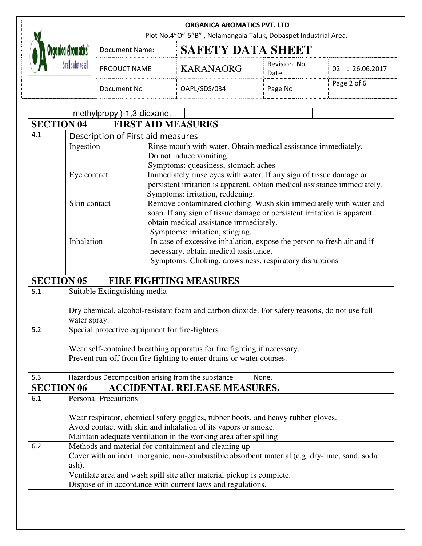|                       | <b>ORGANICA AROMATICS PVT. LTD</b><br>Plot No.4"O"-5"B", Nelamangala Taluk, Dobaspet Industrial Area. |                          |                      |                 |  |
|-----------------------|-------------------------------------------------------------------------------------------------------|--------------------------|----------------------|-----------------|--|
|                       | Document Name:                                                                                        | <b>SAFETY DATA SHEET</b> |                      |                 |  |
| amell is what we sell | PRODUCT NAME                                                                                          | KARANAORG                | Revision No:<br>Date | 02 : 26.06.2017 |  |
|                       | Document No                                                                                           | OAPL/SDS/034             | Page No              | Page 2 of 6     |  |
|                       |                                                                                                       |                          |                      |                 |  |

|     | methylpropyl)-1,3-dioxane.                         |                           |                                                                                                                                      |       |                                                                                               |
|-----|----------------------------------------------------|---------------------------|--------------------------------------------------------------------------------------------------------------------------------------|-------|-----------------------------------------------------------------------------------------------|
|     | <b>SECTION 04</b>                                  | <b>FIRST AID MEASURES</b> |                                                                                                                                      |       |                                                                                               |
| 4.1 | Description of First aid measures                  |                           |                                                                                                                                      |       |                                                                                               |
|     | Ingestion                                          |                           | Rinse mouth with water. Obtain medical assistance immediately.                                                                       |       |                                                                                               |
|     |                                                    |                           | Do not induce vomiting.                                                                                                              |       |                                                                                               |
|     |                                                    |                           | Symptoms: queasiness, stomach aches                                                                                                  |       |                                                                                               |
|     | Eye contact                                        |                           | Immediately rinse eyes with water. If any sign of tissue damage or                                                                   |       |                                                                                               |
|     |                                                    |                           |                                                                                                                                      |       | persistent irritation is apparent, obtain medical assistance immediately.                     |
|     | Skin contact                                       |                           | Symptoms: irritation, reddening.                                                                                                     |       | Remove contaminated clothing. Wash skin immediately with water and                            |
|     |                                                    |                           | soap. If any sign of tissue damage or persistent irritation is apparent                                                              |       |                                                                                               |
|     |                                                    |                           | obtain medical assistance immediately.                                                                                               |       |                                                                                               |
|     |                                                    |                           | Symptoms: irritation, stinging.                                                                                                      |       |                                                                                               |
|     | Inhalation                                         |                           | In case of excessive inhalation, expose the person to fresh air and if                                                               |       |                                                                                               |
|     |                                                    |                           | necessary, obtain medical assistance.                                                                                                |       |                                                                                               |
|     |                                                    |                           | Symptoms: Choking, drowsiness, respiratory disruptions                                                                               |       |                                                                                               |
|     | <b>SECTION 05</b>                                  |                           | <b>FIRE FIGHTING MEASURES</b>                                                                                                        |       |                                                                                               |
|     |                                                    |                           |                                                                                                                                      |       |                                                                                               |
|     |                                                    |                           |                                                                                                                                      |       |                                                                                               |
| 5.1 | Suitable Extinguishing media                       |                           |                                                                                                                                      |       |                                                                                               |
|     |                                                    |                           | Dry chemical, alcohol-resistant foam and carbon dioxide. For safety reasons, do not use full                                         |       |                                                                                               |
|     | water spray.                                       |                           |                                                                                                                                      |       |                                                                                               |
| 5.2 | Special protective equipment for fire-fighters     |                           |                                                                                                                                      |       |                                                                                               |
|     |                                                    |                           |                                                                                                                                      |       |                                                                                               |
|     |                                                    |                           | Wear self-contained breathing apparatus for fire fighting if necessary.                                                              |       |                                                                                               |
|     |                                                    |                           | Prevent run-off from fire fighting to enter drains or water courses.                                                                 |       |                                                                                               |
| 5.3 | Hazardous Decomposition arising from the substance |                           |                                                                                                                                      | None. |                                                                                               |
|     | <b>SECTION 06</b>                                  |                           | <b>ACCIDENTAL RELEASE MEASURES.</b>                                                                                                  |       |                                                                                               |
| 6.1 | <b>Personal Precautions</b>                        |                           |                                                                                                                                      |       |                                                                                               |
|     |                                                    |                           |                                                                                                                                      |       |                                                                                               |
|     |                                                    |                           | Wear respirator, chemical safety goggles, rubber boots, and heavy rubber gloves.                                                     |       |                                                                                               |
|     |                                                    |                           | Avoid contact with skin and inhalation of its vapors or smoke.                                                                       |       |                                                                                               |
| 6.2 |                                                    |                           | Maintain adequate ventilation in the working area after spilling                                                                     |       |                                                                                               |
|     |                                                    |                           | Methods and material for containment and cleaning up                                                                                 |       | Cover with an inert, inorganic, non-combustible absorbent material (e.g. dry-lime, sand, soda |
|     | ash).                                              |                           |                                                                                                                                      |       |                                                                                               |
|     |                                                    |                           | Ventilate area and wash spill site after material pickup is complete.<br>Dispose of in accordance with current laws and regulations. |       |                                                                                               |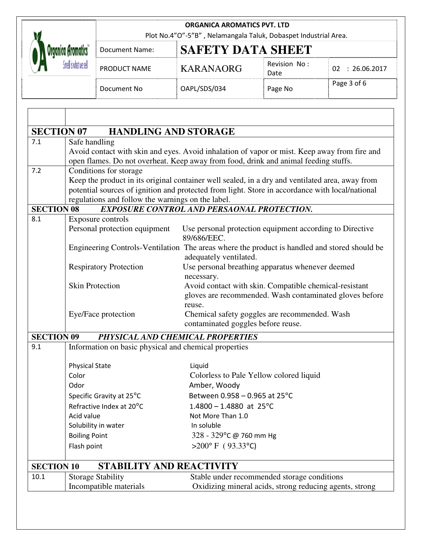|      |                                                                                                          |                                                                 | <b>ORGANICA AROMATICS PVT. LTD</b>                                                              |                                                                                                        |                 |  |  |
|------|----------------------------------------------------------------------------------------------------------|-----------------------------------------------------------------|-------------------------------------------------------------------------------------------------|--------------------------------------------------------------------------------------------------------|-----------------|--|--|
|      |                                                                                                          | Plot No.4"O"-5"B", Nelamangala Taluk, Dobaspet Industrial Area. |                                                                                                 |                                                                                                        |                 |  |  |
|      | rganica Aromatics                                                                                        | <b>Document Name:</b>                                           |                                                                                                 | <b>SAFETY DATA SHEET</b>                                                                               |                 |  |  |
|      | imell is what we sell                                                                                    | PRODUCT NAME                                                    | <b>KARANAORG</b>                                                                                | Revision No:<br>Date                                                                                   | 02 : 26.06.2017 |  |  |
|      |                                                                                                          | Document No                                                     | OAPL/SDS/034                                                                                    | Page No                                                                                                | Page 3 of 6     |  |  |
|      |                                                                                                          |                                                                 |                                                                                                 |                                                                                                        |                 |  |  |
|      |                                                                                                          |                                                                 |                                                                                                 |                                                                                                        |                 |  |  |
|      | <b>SECTION 07</b>                                                                                        |                                                                 | <b>HANDLING AND STORAGE</b>                                                                     |                                                                                                        |                 |  |  |
| 7.1  | Safe handling                                                                                            |                                                                 |                                                                                                 |                                                                                                        |                 |  |  |
|      |                                                                                                          |                                                                 | Avoid contact with skin and eyes. Avoid inhalation of vapor or mist. Keep away from fire and    |                                                                                                        |                 |  |  |
|      |                                                                                                          |                                                                 | open flames. Do not overheat. Keep away from food, drink and animal feeding stuffs.             |                                                                                                        |                 |  |  |
| 7.2  |                                                                                                          | Conditions for storage                                          |                                                                                                 |                                                                                                        |                 |  |  |
|      |                                                                                                          |                                                                 | Keep the product in its original container well sealed, in a dry and ventilated area, away from |                                                                                                        |                 |  |  |
|      |                                                                                                          |                                                                 | potential sources of ignition and protected from light. Store in accordance with local/national |                                                                                                        |                 |  |  |
|      |                                                                                                          | regulations and follow the warnings on the label.               |                                                                                                 |                                                                                                        |                 |  |  |
| 8.1  | <b>SECTION 08</b>                                                                                        |                                                                 | <b>EXPOSURE CONTROL AND PERSAONAL PROTECTION.</b>                                               |                                                                                                        |                 |  |  |
|      |                                                                                                          | Exposure controls                                               |                                                                                                 |                                                                                                        |                 |  |  |
|      | Personal protection equipment<br>Use personal protection equipment according to Directive<br>89/686/EEC. |                                                                 |                                                                                                 |                                                                                                        |                 |  |  |
|      | Engineering Controls-Ventilation The areas where the product is handled and stored should be             |                                                                 |                                                                                                 |                                                                                                        |                 |  |  |
|      |                                                                                                          |                                                                 |                                                                                                 | adequately ventilated.                                                                                 |                 |  |  |
|      |                                                                                                          | <b>Respiratory Protection</b>                                   | Use personal breathing apparatus whenever deemed                                                |                                                                                                        |                 |  |  |
|      |                                                                                                          |                                                                 | necessary.                                                                                      |                                                                                                        |                 |  |  |
|      |                                                                                                          | <b>Skin Protection</b>                                          | Avoid contact with skin. Compatible chemical-resistant                                          |                                                                                                        |                 |  |  |
|      |                                                                                                          |                                                                 | gloves are recommended. Wash contaminated gloves before                                         |                                                                                                        |                 |  |  |
|      |                                                                                                          |                                                                 | reuse.                                                                                          |                                                                                                        |                 |  |  |
|      |                                                                                                          | Eye/Face protection                                             |                                                                                                 | Chemical safety goggles are recommended. Wash<br>contaminated goggles before reuse.                    |                 |  |  |
|      |                                                                                                          |                                                                 |                                                                                                 |                                                                                                        |                 |  |  |
| 9.1  | <b>SECTION 09</b>                                                                                        |                                                                 | PHYSICAL AND CHEMICAL PROPERTIES<br>Information on basic physical and chemical properties       |                                                                                                        |                 |  |  |
|      |                                                                                                          |                                                                 |                                                                                                 |                                                                                                        |                 |  |  |
|      | <b>Physical State</b>                                                                                    |                                                                 | Liquid                                                                                          |                                                                                                        |                 |  |  |
|      | Color                                                                                                    |                                                                 |                                                                                                 | Colorless to Pale Yellow colored liquid                                                                |                 |  |  |
|      | Odor                                                                                                     |                                                                 | Amber, Woody                                                                                    |                                                                                                        |                 |  |  |
|      | Specific Gravity at 25°C                                                                                 |                                                                 |                                                                                                 | Between 0.958 - 0.965 at 25°C                                                                          |                 |  |  |
|      | Refractive Index at 20°C                                                                                 |                                                                 |                                                                                                 | 1.4800 - 1.4880 at $25^{\circ}$ C                                                                      |                 |  |  |
|      | Acid value                                                                                               |                                                                 | Not More Than 1.0                                                                               |                                                                                                        |                 |  |  |
|      | Solubility in water                                                                                      |                                                                 |                                                                                                 | In soluble                                                                                             |                 |  |  |
|      | <b>Boiling Point</b>                                                                                     |                                                                 |                                                                                                 | 328 - 329°C @ 760 mm Hg                                                                                |                 |  |  |
|      | Flash point                                                                                              |                                                                 | $>200^{\circ}$ F (93.33 °C)                                                                     |                                                                                                        |                 |  |  |
|      | <b>SECTION 10</b>                                                                                        |                                                                 | <b>STABILITY AND REACTIVITY</b>                                                                 |                                                                                                        |                 |  |  |
| 10.1 |                                                                                                          | <b>Storage Stability</b>                                        |                                                                                                 |                                                                                                        |                 |  |  |
|      | Incompatible materials                                                                                   |                                                                 |                                                                                                 | Stable under recommended storage conditions<br>Oxidizing mineral acids, strong reducing agents, strong |                 |  |  |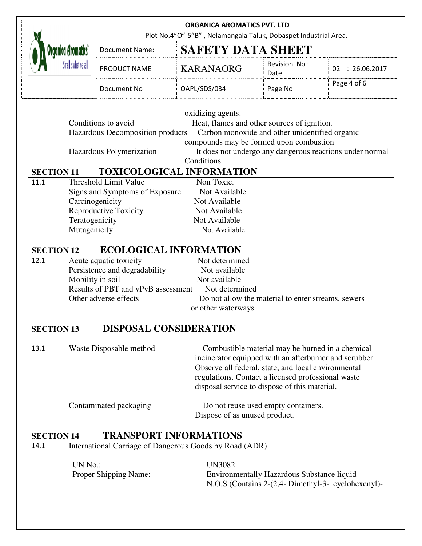|                      |                  |                                                                 | <b>ORGANICA AROMATICS PVT. LTD</b>                                                               |                                                          |                 |  |
|----------------------|------------------|-----------------------------------------------------------------|--------------------------------------------------------------------------------------------------|----------------------------------------------------------|-----------------|--|
|                      |                  | Plot No.4"O"-5"B", Nelamangala Taluk, Dobaspet Industrial Area. |                                                                                                  |                                                          |                 |  |
|                      | ganica Aromatics | Document Name:                                                  | <b>SAFETY DATA SHEET</b>                                                                         |                                                          |                 |  |
| nell is what we sell |                  | PRODUCT NAME                                                    | <b>KARANAORG</b>                                                                                 | Revision No:<br>Date                                     | 02 : 26.06.2017 |  |
|                      |                  | Document No                                                     | OAPL/SDS/034                                                                                     | Page No                                                  | Page 4 of 6     |  |
|                      |                  |                                                                 | oxidizing agents.                                                                                |                                                          |                 |  |
|                      |                  | Conditions to avoid                                             |                                                                                                  | Heat, flames and other sources of ignition.              |                 |  |
|                      |                  | Hazardous Decomposition products                                |                                                                                                  | Carbon monoxide and other unidentified organic           |                 |  |
|                      |                  |                                                                 | compounds may be formed upon combustion                                                          |                                                          |                 |  |
|                      |                  | Hazardous Polymerization                                        |                                                                                                  | It does not undergo any dangerous reactions under normal |                 |  |
|                      |                  |                                                                 | Conditions.                                                                                      |                                                          |                 |  |
| <b>SECTION 11</b>    |                  |                                                                 | <b>TOXICOLOGICAL INFORMATION</b>                                                                 |                                                          |                 |  |
| 11.1                 |                  | <b>Threshold Limit Value</b>                                    | Non Toxic.                                                                                       |                                                          |                 |  |
|                      |                  | Signs and Symptoms of Exposure                                  | Not Available                                                                                    |                                                          |                 |  |
|                      |                  | Carcinogenicity                                                 | Not Available                                                                                    |                                                          |                 |  |
|                      |                  | <b>Reproductive Toxicity</b>                                    | Not Available                                                                                    |                                                          |                 |  |
|                      | Teratogenicity   |                                                                 | Not Available                                                                                    |                                                          |                 |  |
|                      | Mutagenicity     |                                                                 | Not Available                                                                                    |                                                          |                 |  |
| <b>SECTION 12</b>    |                  |                                                                 | <b>ECOLOGICAL INFORMATION</b>                                                                    |                                                          |                 |  |
| 12.1                 |                  | Acute aquatic toxicity                                          | Not determined                                                                                   |                                                          |                 |  |
|                      |                  | Persistence and degradability                                   | Not available                                                                                    |                                                          |                 |  |
|                      |                  | Mobility in soil                                                | Not available                                                                                    |                                                          |                 |  |
|                      |                  | Results of PBT and vPvB assessment                              | Not determined                                                                                   |                                                          |                 |  |
|                      |                  | Other adverse effects                                           | Do not allow the material to enter streams, sewers                                               |                                                          |                 |  |
|                      |                  |                                                                 | or other waterways                                                                               |                                                          |                 |  |
| <b>SECTION 13</b>    |                  | <b>DISPOSAL CONSIDERATION</b>                                   |                                                                                                  |                                                          |                 |  |
| 13.1                 |                  | Waste Disposable method                                         |                                                                                                  | Combustible material may be burned in a chemical         |                 |  |
|                      |                  |                                                                 |                                                                                                  | incinerator equipped with an afterburner and scrubber.   |                 |  |
|                      |                  |                                                                 |                                                                                                  | Observe all federal, state, and local environmental      |                 |  |
|                      |                  |                                                                 |                                                                                                  | regulations. Contact a licensed professional waste       |                 |  |
|                      |                  |                                                                 |                                                                                                  | disposal service to dispose of this material.            |                 |  |
|                      |                  | Contaminated packaging                                          | Do not reuse used empty containers.                                                              |                                                          |                 |  |
|                      |                  |                                                                 | Dispose of as unused product.                                                                    |                                                          |                 |  |
| <b>SECTION 14</b>    |                  |                                                                 | <b>TRANSPORT INFORMATIONS</b>                                                                    |                                                          |                 |  |
| 14.1                 |                  |                                                                 | International Carriage of Dangerous Goods by Road (ADR)                                          |                                                          |                 |  |
|                      | UN No.:          |                                                                 | <b>UN3082</b>                                                                                    |                                                          |                 |  |
|                      |                  | Proper Shipping Name:                                           |                                                                                                  |                                                          |                 |  |
|                      |                  |                                                                 | Environmentally Hazardous Substance liquid<br>N.O.S.(Contains 2-(2,4- Dimethyl-3- cyclohexenyl)- |                                                          |                 |  |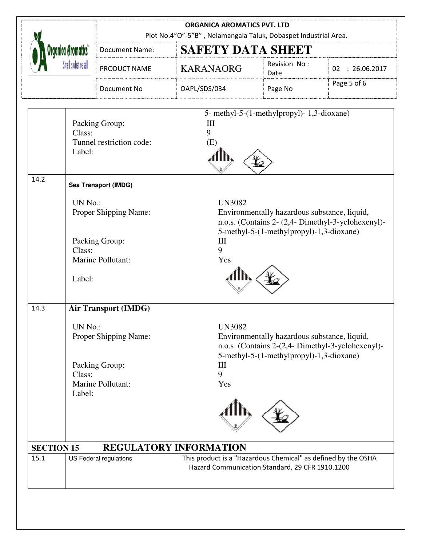|                       |                                 |                                                   | <b>ORGANICA AROMATICS PVT. LTD</b><br>Plot No.4"O"-5"B", Nelamangala Taluk, Dobaspet Industrial Area.            |                                                                                          |                                                    |  |
|-----------------------|---------------------------------|---------------------------------------------------|------------------------------------------------------------------------------------------------------------------|------------------------------------------------------------------------------------------|----------------------------------------------------|--|
|                       | rganica Aromatics"              | <b>SAFETY DATA SHEET</b><br><b>Document Name:</b> |                                                                                                                  |                                                                                          |                                                    |  |
| smell is what we sell |                                 | PRODUCT NAME                                      | <b>KARANAORG</b>                                                                                                 | Revision No:<br>Date                                                                     | 02 : 26.06.2017                                    |  |
|                       |                                 | Document No                                       | OAPL/SDS/034                                                                                                     | Page No                                                                                  | Page 5 of 6                                        |  |
|                       | Class:<br>Label:                | Packing Group:<br>Tunnel restriction code:        | Ш<br>9<br>(E)                                                                                                    | 5- methyl-5-(1-methylpropyl)- 1,3-dioxane)                                               |                                                    |  |
| 14.2                  |                                 | <b>Sea Transport (IMDG)</b>                       |                                                                                                                  |                                                                                          |                                                    |  |
|                       | UN No.:                         | Proper Shipping Name:                             | <b>UN3082</b>                                                                                                    | Environmentally hazardous substance, liquid,<br>5-methyl-5-(1-methylpropyl)-1,3-dioxane) | n.o.s. (Contains 2- (2,4- Dimethyl-3-yclohexenyl)- |  |
|                       | Class:                          | Packing Group:<br>Marine Pollutant:               | III<br>9<br>Yes                                                                                                  |                                                                                          |                                                    |  |
|                       | Label:                          |                                                   |                                                                                                                  |                                                                                          |                                                    |  |
| 14.3                  |                                 | <b>Air Transport (IMDG)</b>                       |                                                                                                                  |                                                                                          |                                                    |  |
|                       | UN No.<br>Proper Shipping Name: |                                                   | <b>UN3082</b>                                                                                                    | Environmentally hazardous substance, liquid,                                             | n.o.s. (Contains 2-(2,4- Dimethyl-3-yclohexenyl)-  |  |
|                       | Class:<br>Label:                | Packing Group:<br>Marine Pollutant:               | Ш<br>9<br>Yes                                                                                                    | 5-methyl-5-(1-methylpropyl)-1,3-dioxane)                                                 |                                                    |  |
|                       |                                 |                                                   |                                                                                                                  |                                                                                          |                                                    |  |
| <b>SECTION 15</b>     |                                 |                                                   | <b>REGULATORY INFORMATION</b>                                                                                    |                                                                                          |                                                    |  |
| 15.1                  | US Federal regulations          |                                                   | This product is a "Hazardous Chemical" as defined by the OSHA<br>Hazard Communication Standard, 29 CFR 1910.1200 |                                                                                          |                                                    |  |